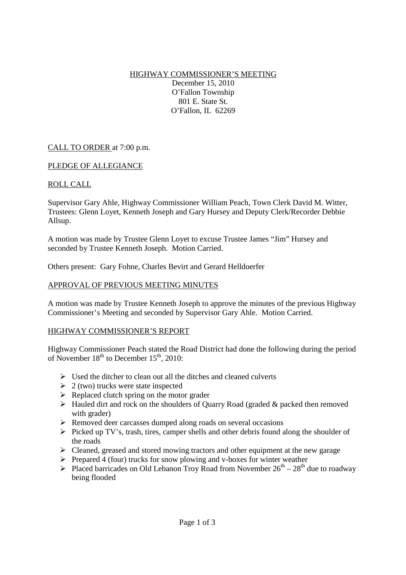HIGHWAY COMMISSIONER'S MEETING December 15, 2010 O'Fallon Township 801 E. State St. O'Fallon, IL 62269

# CALL TO ORDER at 7:00 p.m.

### PLEDGE OF ALLEGIANCE

### ROLL CALL

Supervisor Gary Ahle, Highway Commissioner William Peach, Town Clerk David M. Witter, Trustees: Glenn Loyet, Kenneth Joseph and Gary Hursey and Deputy Clerk/Recorder Debbie Allsup.

A motion was made by Trustee Glenn Loyet to excuse Trustee James "Jim" Hursey and seconded by Trustee Kenneth Joseph. Motion Carried.

Others present: Gary Fohne, Charles Bevirt and Gerard Helldoerfer

### APPROVAL OF PREVIOUS MEETING MINUTES

A motion was made by Trustee Kenneth Joseph to approve the minutes of the previous Highway Commissioner's Meeting and seconded by Supervisor Gary Ahle. Motion Carried.

#### HIGHWAY COMMISSIONER'S REPORT

Highway Commissioner Peach stated the Road District had done the following during the period of November  $18<sup>th</sup>$  to December  $15<sup>th</sup>$ , 2010:

- $\triangleright$  Used the ditcher to clean out all the ditches and cleaned culverts
- $\geq 2$  (two) trucks were state inspected
- $\triangleright$  Replaced clutch spring on the motor grader
- $\triangleright$  Hauled dirt and rock on the shoulders of Quarry Road (graded & packed then removed with grader)
- Removed deer carcasses dumped along roads on several occasions
- $\triangleright$  Picked up TV's, trash, tires, camper shells and other debris found along the shoulder of the roads
- $\triangleright$  Cleaned, greased and stored mowing tractors and other equipment at the new garage
- $\triangleright$  Prepared 4 (four) trucks for snow plowing and v-boxes for winter weather
- Placed barricades on Old Lebanon Troy Road from November  $26^{th} 28^{th}$  due to roadway being flooded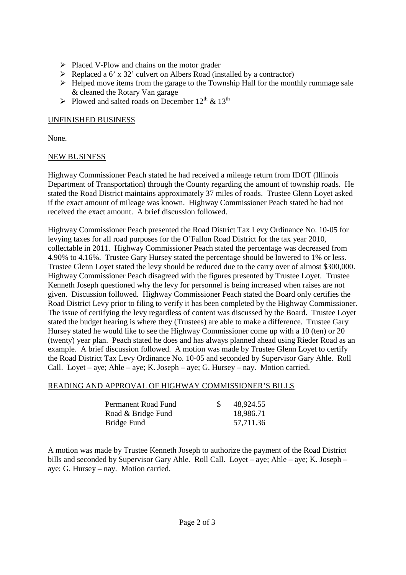- $\triangleright$  Placed V-Plow and chains on the motor grader
- $\triangleright$  Replaced a 6' x 32' culvert on Albers Road (installed by a contractor)
- $\triangleright$  Helped move items from the garage to the Township Hall for the monthly rummage sale & cleaned the Rotary Van garage
- Plowed and salted roads on December  $12^{th}$  &  $13^{th}$

### UNFINISHED BUSINESS

None.

### NEW BUSINESS

Highway Commissioner Peach stated he had received a mileage return from IDOT (Illinois Department of Transportation) through the County regarding the amount of township roads. He stated the Road District maintains approximately 37 miles of roads. Trustee Glenn Loyet asked if the exact amount of mileage was known. Highway Commissioner Peach stated he had not received the exact amount. A brief discussion followed.

Highway Commissioner Peach presented the Road District Tax Levy Ordinance No. 10-05 for levying taxes for all road purposes for the O'Fallon Road District for the tax year 2010, collectable in 2011. Highway Commissioner Peach stated the percentage was decreased from 4.90% to 4.16%. Trustee Gary Hursey stated the percentage should be lowered to 1% or less. Trustee Glenn Loyet stated the levy should be reduced due to the carry over of almost \$300,000. Highway Commissioner Peach disagreed with the figures presented by Trustee Loyet. Trustee Kenneth Joseph questioned why the levy for personnel is being increased when raises are not given. Discussion followed. Highway Commissioner Peach stated the Board only certifies the Road District Levy prior to filing to verify it has been completed by the Highway Commissioner. The issue of certifying the levy regardless of content was discussed by the Board. Trustee Loyet stated the budget hearing is where they (Trustees) are able to make a difference. Trustee Gary Hursey stated he would like to see the Highway Commissioner come up with a 10 (ten) or 20 (twenty) year plan. Peach stated he does and has always planned ahead using Rieder Road as an example. A brief discussion followed. A motion was made by Trustee Glenn Loyet to certify the Road District Tax Levy Ordinance No. 10-05 and seconded by Supervisor Gary Ahle. Roll Call. Loyet – aye; Ahle – aye; K. Joseph – aye; G. Hursey – nay. Motion carried.

#### READING AND APPROVAL OF HIGHWAY COMMISSIONER'S BILLS

| Permanent Road Fund | 48,924.55 |
|---------------------|-----------|
| Road & Bridge Fund  | 18,986.71 |
| Bridge Fund         | 57,711.36 |

A motion was made by Trustee Kenneth Joseph to authorize the payment of the Road District bills and seconded by Supervisor Gary Ahle. Roll Call. Loyet – aye; Ahle – aye; K. Joseph – aye; G. Hursey – nay. Motion carried.